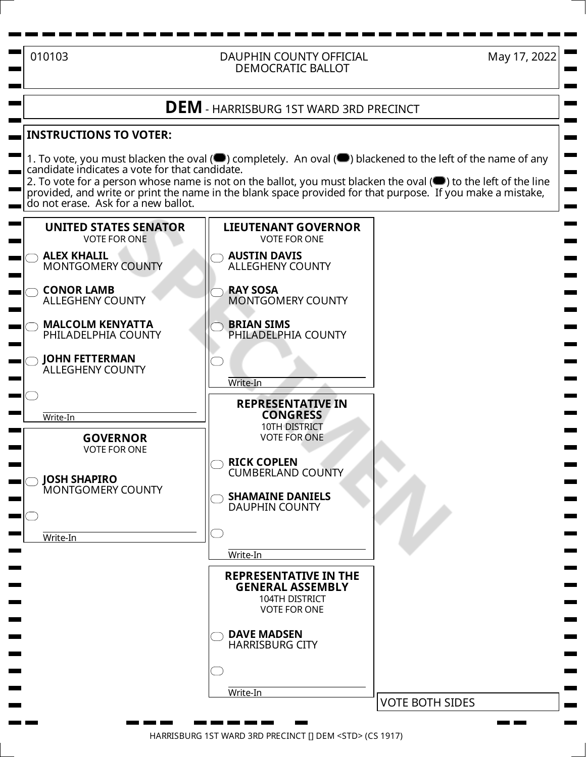## 010103 DAUPHIN COUNTY OFFICIAL DEMOCRATIC BALLOT

May 17, 2022

## **DEM** - HARRISBURG 1ST WARD 3RD PRECINCT

## **INSTRUCTIONS TO VOTER:**

1. To vote, you must blacken the oval ( $\blacksquare$ ) completely. An oval ( $\blacksquare$ ) blackened to the left of the name of any candidate indicates a vote for that candidate.

2. To vote for a person whose name is not on the ballot, you must blacken the oval  $($ **)** to the left of the line provided, and write or print the name in the blank space provided for that purpose. If you make a mistake, do not erase. Ask for a new ballot.